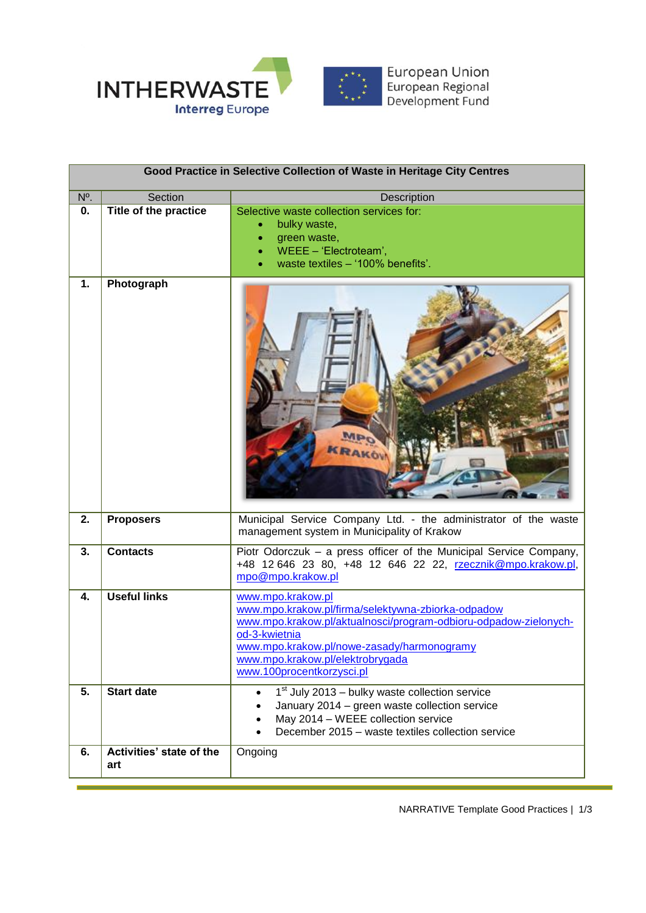

| Good Practice in Selective Collection of Waste in Heritage City Centres |                                          |                                                                                                                                                                                                                                                                                                                                              |  |  |
|-------------------------------------------------------------------------|------------------------------------------|----------------------------------------------------------------------------------------------------------------------------------------------------------------------------------------------------------------------------------------------------------------------------------------------------------------------------------------------|--|--|
| N <sup>o</sup> .                                                        | Section                                  | Description                                                                                                                                                                                                                                                                                                                                  |  |  |
| 0.                                                                      | Title of the practice                    | Selective waste collection services for:<br>bulky waste,<br>green waste,<br>WEEE - 'Electroteam',<br>waste textiles - '100% benefits'.                                                                                                                                                                                                       |  |  |
| 1.                                                                      | Photograph                               | <b>RAKO</b>                                                                                                                                                                                                                                                                                                                                  |  |  |
| 2.                                                                      | <b>Proposers</b>                         | Municipal Service Company Ltd. - the administrator of the waste<br>management system in Municipality of Krakow                                                                                                                                                                                                                               |  |  |
| 3.                                                                      | <b>Contacts</b>                          | Piotr Odorczuk - a press officer of the Municipal Service Company,<br>+48 12 646 23 80, +48 12 646 22 22, rzecznik@mpo.krakow.pl,<br>mpo@mpo.krakow.pl                                                                                                                                                                                       |  |  |
| 4.<br>5.                                                                | <b>Useful links</b><br><b>Start date</b> | www.mpo.krakow.pl<br>www.mpo.krakow.pl/firma/selektywna-zbiorka-odpadow<br>www.mpo.krakow.pl/aktualnosci/program-odbioru-odpadow-zielonych-<br>od-3-kwietnia<br>www.mpo.krakow.pl/nowe-zasady/harmonogramy<br>www.mpo.krakow.pl/elektrobrygada<br>www.100procentkorzysci.pl<br>$1st$ July 2013 – bulky waste collection service<br>$\bullet$ |  |  |
|                                                                         |                                          | January 2014 - green waste collection service<br>May 2014 - WEEE collection service<br>December 2015 - waste textiles collection service                                                                                                                                                                                                     |  |  |
| 6.                                                                      | Activities' state of the<br>art          | Ongoing                                                                                                                                                                                                                                                                                                                                      |  |  |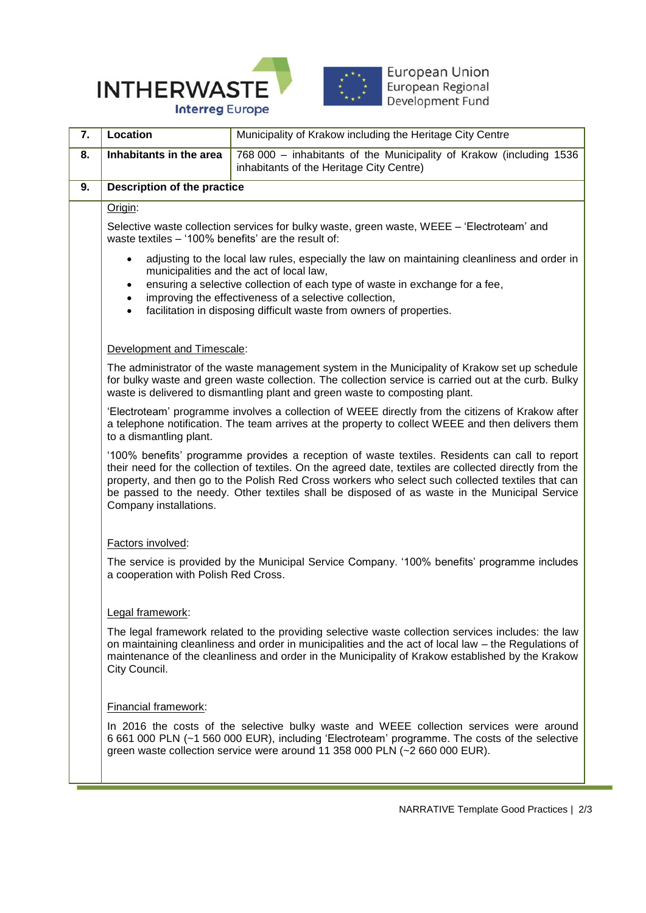



European Union<br>European Regional<br>Development Fund

| 7. | Location                                                                                                                                                                                                                                                                                                                                                                                                                                  | Municipality of Krakow including the Heritage City Centre                                                       |  |
|----|-------------------------------------------------------------------------------------------------------------------------------------------------------------------------------------------------------------------------------------------------------------------------------------------------------------------------------------------------------------------------------------------------------------------------------------------|-----------------------------------------------------------------------------------------------------------------|--|
| 8. | Inhabitants in the area                                                                                                                                                                                                                                                                                                                                                                                                                   | 768 000 - inhabitants of the Municipality of Krakow (including 1536<br>inhabitants of the Heritage City Centre) |  |
| 9. | Description of the practice                                                                                                                                                                                                                                                                                                                                                                                                               |                                                                                                                 |  |
|    | Origin:                                                                                                                                                                                                                                                                                                                                                                                                                                   |                                                                                                                 |  |
|    | Selective waste collection services for bulky waste, green waste, WEEE - 'Electroteam' and<br>waste textiles - '100% benefits' are the result of:                                                                                                                                                                                                                                                                                         |                                                                                                                 |  |
|    | adjusting to the local law rules, especially the law on maintaining cleanliness and order in<br>$\bullet$                                                                                                                                                                                                                                                                                                                                 |                                                                                                                 |  |
|    | municipalities and the act of local law,<br>ensuring a selective collection of each type of waste in exchange for a fee,<br>$\bullet$                                                                                                                                                                                                                                                                                                     |                                                                                                                 |  |
|    | improving the effectiveness of a selective collection,<br>$\bullet$<br>facilitation in disposing difficult waste from owners of properties.<br>$\bullet$                                                                                                                                                                                                                                                                                  |                                                                                                                 |  |
|    |                                                                                                                                                                                                                                                                                                                                                                                                                                           |                                                                                                                 |  |
|    | Development and Timescale:                                                                                                                                                                                                                                                                                                                                                                                                                |                                                                                                                 |  |
|    | The administrator of the waste management system in the Municipality of Krakow set up schedule<br>for bulky waste and green waste collection. The collection service is carried out at the curb. Bulky<br>waste is delivered to dismantling plant and green waste to composting plant.                                                                                                                                                    |                                                                                                                 |  |
|    | 'Electroteam' programme involves a collection of WEEE directly from the citizens of Krakow after<br>a telephone notification. The team arrives at the property to collect WEEE and then delivers them<br>to a dismantling plant.                                                                                                                                                                                                          |                                                                                                                 |  |
|    | '100% benefits' programme provides a reception of waste textiles. Residents can call to report<br>their need for the collection of textiles. On the agreed date, textiles are collected directly from the<br>property, and then go to the Polish Red Cross workers who select such collected textiles that can<br>be passed to the needy. Other textiles shall be disposed of as waste in the Municipal Service<br>Company installations. |                                                                                                                 |  |
|    | Factors involved:                                                                                                                                                                                                                                                                                                                                                                                                                         |                                                                                                                 |  |
|    | The service is provided by the Municipal Service Company. '100% benefits' programme includes<br>a cooperation with Polish Red Cross.                                                                                                                                                                                                                                                                                                      |                                                                                                                 |  |
|    | Legal framework:                                                                                                                                                                                                                                                                                                                                                                                                                          |                                                                                                                 |  |
|    | The legal framework related to the providing selective waste collection services includes: the law<br>on maintaining cleanliness and order in municipalities and the act of local law - the Regulations of<br>maintenance of the cleanliness and order in the Municipality of Krakow established by the Krakow<br>City Council.                                                                                                           |                                                                                                                 |  |
|    | Financial framework:                                                                                                                                                                                                                                                                                                                                                                                                                      |                                                                                                                 |  |
|    | In 2016 the costs of the selective bulky waste and WEEE collection services were around<br>6 661 000 PLN (~1 560 000 EUR), including 'Electroteam' programme. The costs of the selective<br>green waste collection service were around 11 358 000 PLN (~2 660 000 EUR).                                                                                                                                                                   |                                                                                                                 |  |
|    |                                                                                                                                                                                                                                                                                                                                                                                                                                           |                                                                                                                 |  |

a.